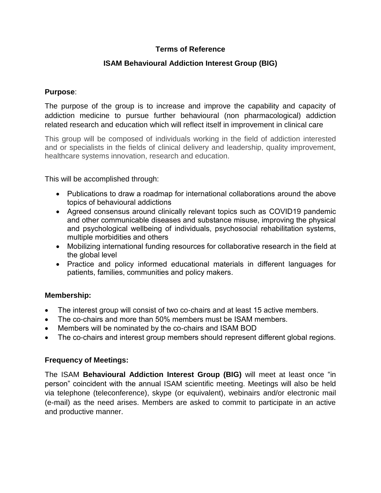# **Terms of Reference**

# **ISAM Behavioural Addiction Interest Group (BIG)**

#### **Purpose**:

The purpose of the group is to increase and improve the capability and capacity of addiction medicine to pursue further behavioural (non pharmacological) addiction related research and education which will reflect itself in improvement in clinical care

This group will be composed of individuals working in the field of addiction interested and or specialists in the fields of clinical delivery and leadership, quality improvement, healthcare systems innovation, research and education.

This will be accomplished through:

- Publications to draw a roadmap for international collaborations around the above topics of behavioural addictions
- Agreed consensus around clinically relevant topics such as COVID19 pandemic and other communicable diseases and substance misuse, improving the physical and psychological wellbeing of individuals, psychosocial rehabilitation systems, multiple morbidities and others
- Mobilizing international funding resources for collaborative research in the field at the global level
- Practice and policy informed educational materials in different languages for patients, families, communities and policy makers.

### **Membership:**

- The interest group will consist of two co-chairs and at least 15 active members.
- The co-chairs and more than 50% members must be ISAM members.
- Members will be nominated by the co-chairs and ISAM BOD
- The co-chairs and interest group members should represent different global regions.

### **Frequency of Meetings:**

The ISAM **Behavioural Addiction Interest Group (BIG)** will meet at least once "in person" coincident with the annual ISAM scientific meeting. Meetings will also be held via telephone (teleconference), skype (or equivalent), webinairs and/or electronic mail (e-mail) as the need arises. Members are asked to commit to participate in an active and productive manner.